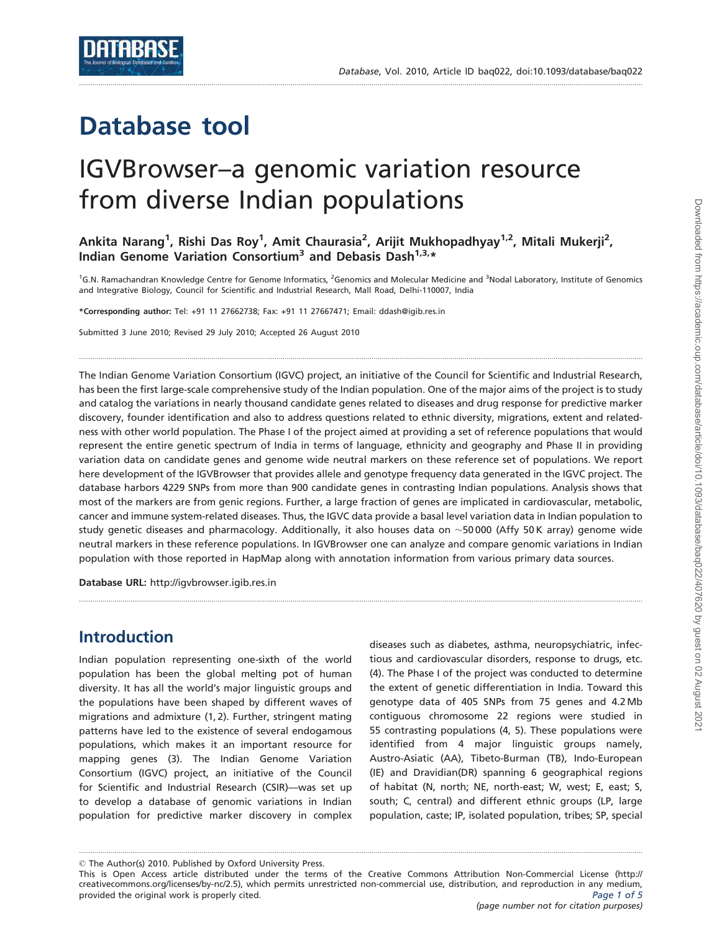# Database tool

## IGVBrowser–a genomic variation resource from diverse Indian populations

### Ankita Narang<sup>1</sup>, Rishi Das Roy<sup>1</sup>, Amit Chaurasia<sup>2</sup>, Arijit Mukhopadhyay<sup>1,2</sup>, Mitali Mukerji<sup>2</sup>, Indian Genome Variation Consortium<sup>3</sup> and Debasis Dash<sup>1,3,\*</sup>

 $1$ G.N. Ramachandran Knowledge Centre for Genome Informatics, <sup>2</sup>Genomics and Molecular Medicine and <sup>3</sup>Nodal Laboratory, Institute of Genomics and Integrative Biology, Council for Scientific and Industrial Research, Mall Road, Delhi-110007, India

.............................................................................................................................................................................................................................................................................................

.............................................................................................................................................................................................................................................................................................

\*Corresponding author: Tel: +91 11 27662738; Fax: +91 11 27667471; Email: ddash@igib.res.in

Submitted 3 June 2010; Revised 29 July 2010; Accepted 26 August 2010

The Indian Genome Variation Consortium (IGVC) project, an initiative of the Council for Scientific and Industrial Research, has been the first large-scale comprehensive study of the Indian population. One of the major aims of the project is to study and catalog the variations in nearly thousand candidate genes related to diseases and drug response for predictive marker discovery, founder identification and also to address questions related to ethnic diversity, migrations, extent and relatedness with other world population. The Phase I of the project aimed at providing a set of reference populations that would represent the entire genetic spectrum of India in terms of language, ethnicity and geography and Phase II in providing variation data on candidate genes and genome wide neutral markers on these reference set of populations. We report here development of the IGVBrowser that provides allele and genotype frequency data generated in the IGVC project. The database harbors 4229 SNPs from more than 900 candidate genes in contrasting Indian populations. Analysis shows that most of the markers are from genic regions. Further, a large fraction of genes are implicated in cardiovascular, metabolic, cancer and immune system-related diseases. Thus, the IGVC data provide a basal level variation data in Indian population to study genetic diseases and pharmacology. Additionally, it also houses data on ~50 000 (Affy 50K array) genome wide neutral markers in these reference populations. In IGVBrowser one can analyze and compare genomic variations in Indian population with those reported in HapMap along with annotation information from various primary data sources.

.............................................................................................................................................................................................................................................................................................

Database URL: http://igvbrowser.igib.res.in

### Introduction

Indian population representing one-sixth of the world population has been the global melting pot of human diversity. It has all the world's major linguistic groups and the populations have been shaped by different waves of migrations and admixture (1, 2). Further, stringent mating patterns have led to the existence of several endogamous populations, which makes it an important resource for mapping genes (3). The Indian Genome Variation Consortium (IGVC) project, an initiative of the Council for Scientific and Industrial Research (CSIR)—was set up to develop a database of genomic variations in Indian population for predictive marker discovery in complex

diseases such as diabetes, asthma, neuropsychiatric, infectious and cardiovascular disorders, response to drugs, etc. (4). The Phase I of the project was conducted to determine the extent of genetic differentiation in India. Toward this genotype data of 405 SNPs from 75 genes and 4.2 Mb contiguous chromosome 22 regions were studied in 55 contrasting populations (4, 5). These populations were identified from 4 major linguistic groups namely, Austro-Asiatic (AA), Tibeto-Burman (TB), Indo-European (IE) and Dravidian(DR) spanning 6 geographical regions of habitat (N, north; NE, north-east; W, west; E, east; S, south; C, central) and different ethnic groups (LP, large population, caste; IP, isolated population, tribes; SP, special

 $\circledcirc$  The Author(s) 2010. Published by Oxford University Press.

This is Open Access article distributed under the terms of the Creative Commons Attribution Non-Commercial License (http:// creativecommons.org/licenses/by-nc/2.5), which permits unrestricted non-commercial use, distribution, and reproduction in any medium, provided the original work is properly cited. Page 1 of 5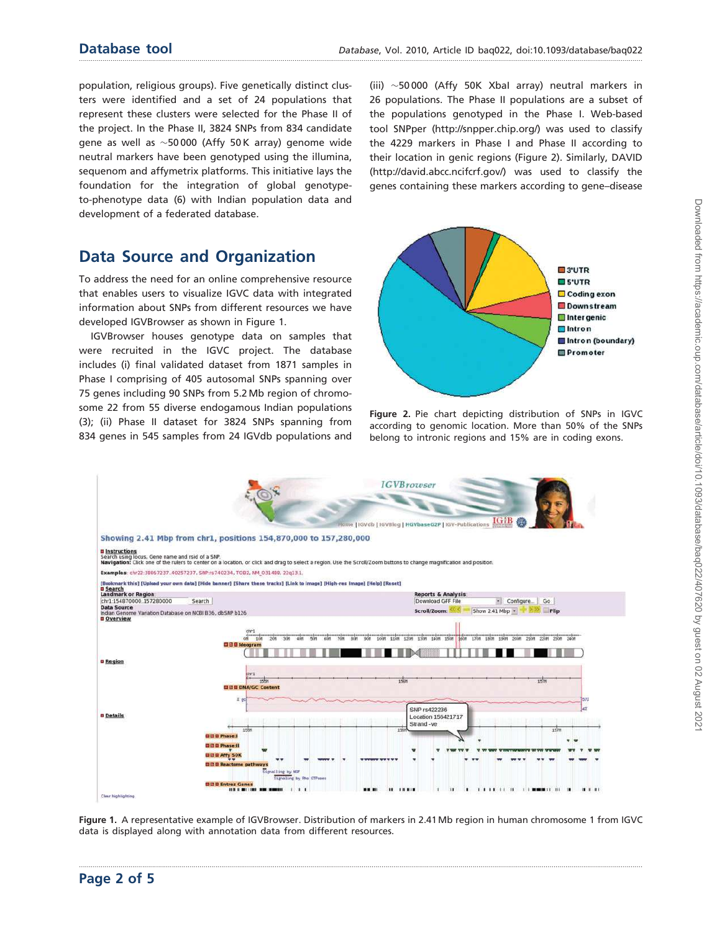population, religious groups). Five genetically distinct clusters were identified and a set of 24 populations that represent these clusters were selected for the Phase II of the project. In the Phase II, 3824 SNPs from 834 candidate gene as well as  $\sim$ 50000 (Affy 50K array) genome wide neutral markers have been genotyped using the illumina, sequenom and affymetrix platforms. This initiative lays the foundation for the integration of global genotypeto-phenotype data (6) with Indian population data and development of a federated database.

(iii) ~50 000 (Affy 50K Xbal array) neutral markers in 26 populations. The Phase II populations are a subset of the populations genotyped in the Phase I. Web-based tool SNPper (http://snpper.chip.org/) was used to classify the 4229 markers in Phase I and Phase II according to their location in genic regions (Figure 2). Similarly, DAVID (http://david.abcc.ncifcrf.gov/) was used to classify the genes containing these markers according to gene–disease

## Data Source and Organization

To address the need for an online comprehensive resource that enables users to visualize IGVC data with integrated information about SNPs from different resources we have developed IGVBrowser as shown in Figure 1.

IGVBrowser houses genotype data on samples that were recruited in the IGVC project. The database includes (i) final validated dataset from 1871 samples in Phase I comprising of 405 autosomal SNPs spanning over 75 genes including 90 SNPs from 5.2 Mb region of chromosome 22 from 55 diverse endogamous Indian populations (3); (ii) Phase II dataset for 3824 SNPs spanning from 834 genes in 545 samples from 24 IGVdb populations and



Figure 2. Pie chart depicting distribution of SNPs in IGVC according to genomic location. More than 50% of the SNPs belong to intronic regions and 15% are in coding exons.



Figure 1. A representative example of IGVBrowser. Distribution of markers in 2.41 Mb region in human chromosome 1 from IGVC data is displayed along with annotation data from different resources.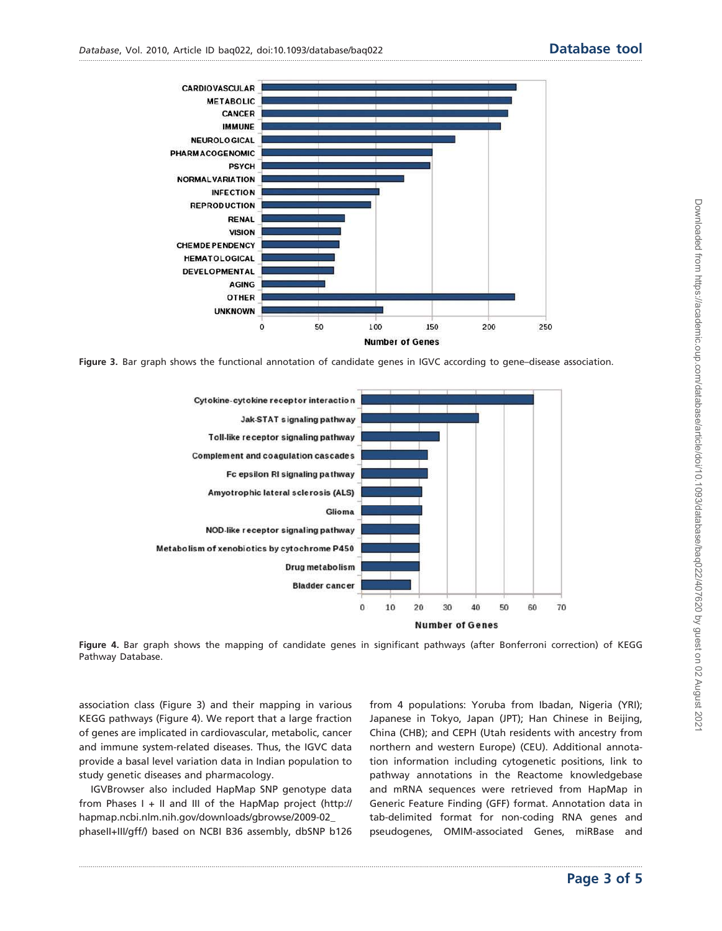

Figure 3. Bar graph shows the functional annotation of candidate genes in IGVC according to gene-disease association.



Figure 4. Bar graph shows the mapping of candidate genes in significant pathways (after Bonferroni correction) of KEGG Pathway Database.

.............................................................................................................................................................................................................................................................................................

association class (Figure 3) and their mapping in various KEGG pathways (Figure 4). We report that a large fraction of genes are implicated in cardiovascular, metabolic, cancer and immune system-related diseases. Thus, the IGVC data provide a basal level variation data in Indian population to study genetic diseases and pharmacology.

IGVBrowser also included HapMap SNP genotype data from Phases I + II and III of the HapMap project (http:// hapmap.ncbi.nlm.nih.gov/downloads/gbrowse/2009-02\_ phaseII+III/gff/) based on NCBI B36 assembly, dbSNP b126 from 4 populations: Yoruba from Ibadan, Nigeria (YRI); Japanese in Tokyo, Japan (JPT); Han Chinese in Beijing, China (CHB); and CEPH (Utah residents with ancestry from northern and western Europe) (CEU). Additional annotation information including cytogenetic positions, link to pathway annotations in the Reactome knowledgebase and mRNA sequences were retrieved from HapMap in Generic Feature Finding (GFF) format. Annotation data in tab-delimited format for non-coding RNA genes and pseudogenes, OMIM-associated Genes, miRBase and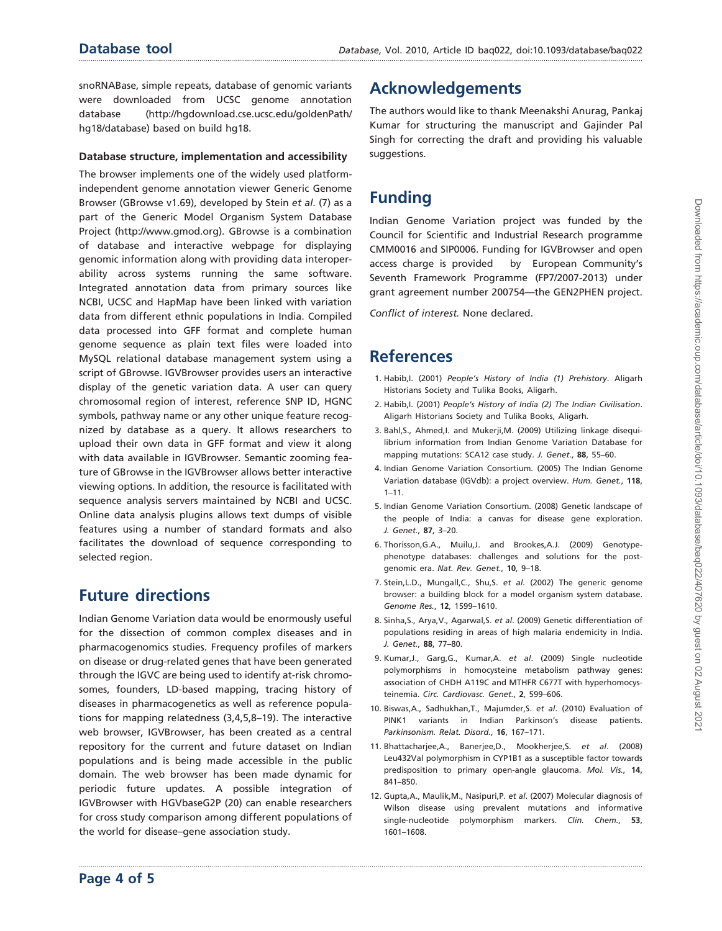snoRNABase, simple repeats, database of genomic variants were downloaded from UCSC genome annotation database (http://hgdownload.cse.ucsc.edu/goldenPath/ hg18/database) based on build hg18.

#### Database structure, implementation and accessibility

The browser implements one of the widely used platformindependent genome annotation viewer Generic Genome Browser (GBrowse v1.69), developed by Stein et al. (7) as a part of the Generic Model Organism System Database Project (http://www.gmod.org). GBrowse is a combination of database and interactive webpage for displaying genomic information along with providing data interoperability across systems running the same software. Integrated annotation data from primary sources like NCBI, UCSC and HapMap have been linked with variation data from different ethnic populations in India. Compiled data processed into GFF format and complete human genome sequence as plain text files were loaded into MySQL relational database management system using a script of GBrowse. IGVBrowser provides users an interactive display of the genetic variation data. A user can query chromosomal region of interest, reference SNP ID, HGNC symbols, pathway name or any other unique feature recognized by database as a query. It allows researchers to upload their own data in GFF format and view it along with data available in IGVBrowser. Semantic zooming feature of GBrowse in the IGVBrowser allows better interactive viewing options. In addition, the resource is facilitated with sequence analysis servers maintained by NCBI and UCSC. Online data analysis plugins allows text dumps of visible features using a number of standard formats and also facilitates the download of sequence corresponding to selected region.

## Future directions

Indian Genome Variation data would be enormously useful for the dissection of common complex diseases and in pharmacogenomics studies. Frequency profiles of markers on disease or drug-related genes that have been generated through the IGVC are being used to identify at-risk chromosomes, founders, LD-based mapping, tracing history of diseases in pharmacogenetics as well as reference populations for mapping relatedness (3,4,5,8–19). The interactive web browser, IGVBrowser, has been created as a central repository for the current and future dataset on Indian populations and is being made accessible in the public domain. The web browser has been made dynamic for periodic future updates. A possible integration of IGVBrowser with HGVbaseG2P (20) can enable researchers for cross study comparison among different populations of the world for disease–gene association study.

## Acknowledgements

The authors would like to thank Meenakshi Anurag, Pankaj Kumar for structuring the manuscript and Gajinder Pal Singh for correcting the draft and providing his valuable suggestions.

## Funding

Indian Genome Variation project was funded by the Council for Scientific and Industrial Research programme CMM0016 and SIP0006. Funding for IGVBrowser and open access charge is provided by European Community's Seventh Framework Programme (FP7/2007-2013) under grant agreement number 200754—the GEN2PHEN project.

Conflict of interest. None declared.

## References

- 1. Habib, I. (2001) People's History of India (1) Prehistory. Aligarh Historians Society and Tulika Books, Aligarh.
- 2. Habib,I. (2001) People's History of India (2) The Indian Civilisation. Aligarh Historians Society and Tulika Books, Aligarh.
- 3. Bahl, S., Ahmed, I. and Mukerji, M. (2009) Utilizing linkage disequilibrium information from Indian Genome Variation Database for mapping mutations: SCA12 case study. J. Genet., 88, 55–60.
- 4. Indian Genome Variation Consortium. (2005) The Indian Genome Variation database (IGVdb): a project overview. Hum. Genet., 118,  $1 - 11$
- 5. Indian Genome Variation Consortium. (2008) Genetic landscape of the people of India: a canvas for disease gene exploration. J. Genet., 87, 3–20.
- 6. Thorisson,G.A., Muilu,J. and Brookes,A.J. (2009) Genotypephenotype databases: challenges and solutions for the postgenomic era. Nat. Rev. Genet., 10, 9–18.
- 7. Stein,L.D., Mungall,C., Shu,S. et al. (2002) The generic genome browser: a building block for a model organism system database. Genome Res., 12, 1599–1610.
- 8. Sinha,S., Arya,V., Agarwal,S. et al. (2009) Genetic differentiation of populations residing in areas of high malaria endemicity in India. J. Genet., 88, 77–80.
- 9. Kumar,J., Garg,G., Kumar,A. et al. (2009) Single nucleotide polymorphisms in homocysteine metabolism pathway genes: association of CHDH A119C and MTHFR C677T with hyperhomocysteinemia. Circ. Cardiovasc. Genet., 2, 599–606.
- 10. Biswas,A., Sadhukhan,T., Majumder,S. et al. (2010) Evaluation of PINK1 variants in Indian Parkinson's disease patients. Parkinsonism. Relat. Disord., 16, 167–171.
- 11. Bhattacharjee,A., Banerjee,D., Mookherjee,S. et al. (2008) Leu432Val polymorphism in CYP1B1 as a susceptible factor towards predisposition to primary open-angle glaucoma. Mol. Vis., 14, 841–850.
- 12. Gupta,A., Maulik,M., Nasipuri,P. et al. (2007) Molecular diagnosis of Wilson disease using prevalent mutations and informative single-nucleotide polymorphism markers. Clin. Chem., 53, 1601–1608.